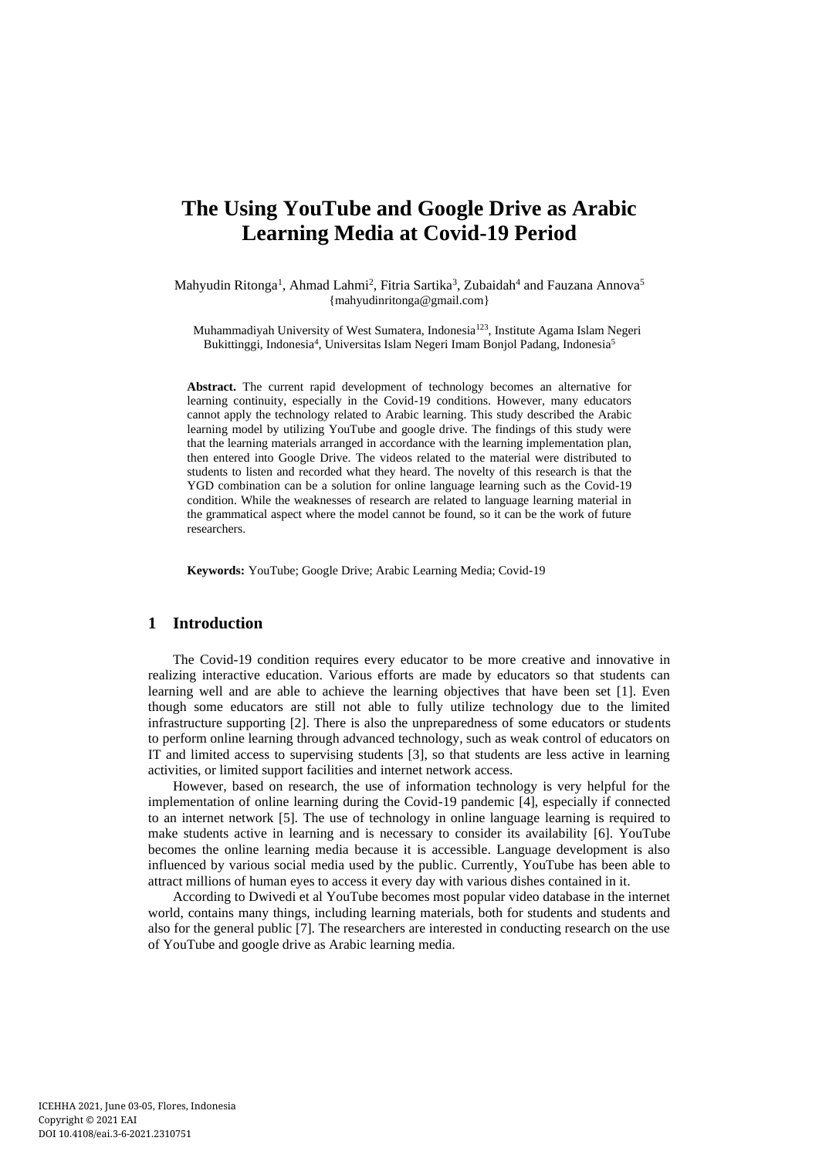# **The Using YouTube and Google Drive as Arabic Learning Media at Covid-19 Period**

Mahyudin Ritonga<sup>1</sup>, Ahmad Lahmi<sup>2</sup>, Fitria Sartika<sup>3</sup>, Zubaidah<sup>4</sup> and Fauzana Annova<sup>5</sup> {mahyudinritonga@gmail.com}

Muhammadiyah University of West Sumatera, Indonesia<sup>123</sup>, Institute Agama Islam Negeri Bukittinggi, Indonesia<sup>4</sup>, Universitas Islam Negeri Imam Bonjol Padang, Indonesia<sup>5</sup>

**Abstract.** The current rapid development of technology becomes an alternative for learning continuity, especially in the Covid-19 conditions. However, many educators cannot apply the technology related to Arabic learning. This study described the Arabic learning model by utilizing YouTube and google drive. The findings of this study were that the learning materials arranged in accordance with the learning implementation plan, then entered into Google Drive. The videos related to the material were distributed to students to listen and recorded what they heard. The novelty of this research is that the YGD combination can be a solution for online language learning such as the Covid-19 condition. While the weaknesses of research are related to language learning material in the grammatical aspect where the model cannot be found, so it can be the work of future researchers.

**Keywords:** YouTube; Google Drive; Arabic Learning Media; Covid-19

## **1 Introduction**

The Covid-19 condition requires every educator to be more creative and innovative in realizing interactive education. Various efforts are made by educators so that students can learning well and are able to achieve the learning objectives that have been set [1]. Even though some educators are still not able to fully utilize technology due to the limited infrastructure supporting [2]. There is also the unpreparedness of some educators or students to perform online learning through advanced technology, such as weak control of educators on IT and limited access to supervising students [3], so that students are less active in learning activities, or limited support facilities and internet network access.

However, based on research, the use of information technology is very helpful for the implementation of online learning during the Covid-19 pandemic [4], especially if connected to an internet network [5]. The use of technology in online language learning is required to make students active in learning and is necessary to consider its availability [6]. YouTube becomes the online learning media because it is accessible. Language development is also influenced by various social media used by the public. Currently, YouTube has been able to attract millions of human eyes to access it every day with various dishes contained in it.

According to Dwivedi et al YouTube becomes most popular video database in the internet world, contains many things, including learning materials, both for students and students and also for the general public [7]. The researchers are interested in conducting research on the use of YouTube and google drive as Arabic learning media.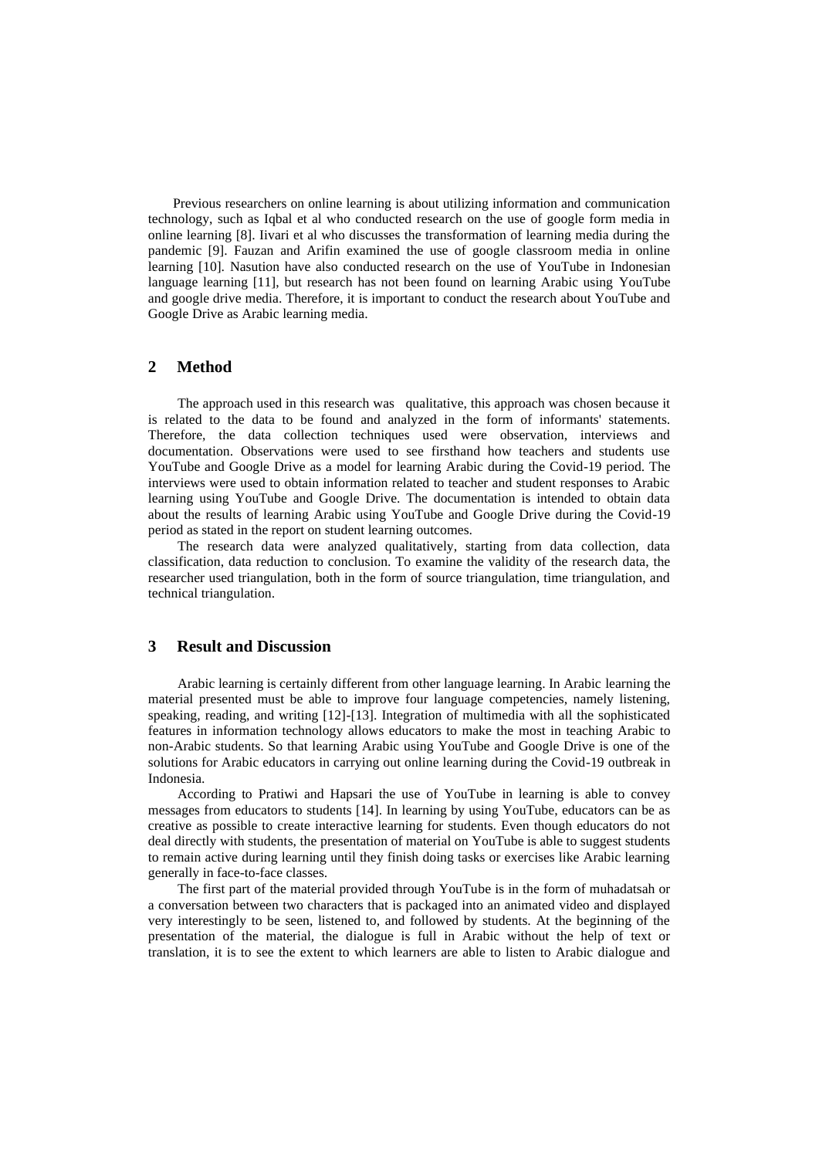Previous researchers on online learning is about utilizing information and communication technology, such as Iqbal et al who conducted research on the use of google form media in online learning [8]. Iivari et al who discusses the transformation of learning media during the pandemic [9]. Fauzan and Arifin examined the use of google classroom media in online learning [10]. Nasution have also conducted research on the use of YouTube in Indonesian language learning [11], but research has not been found on learning Arabic using YouTube and google drive media. Therefore, it is important to conduct the research about YouTube and Google Drive as Arabic learning media.

#### **2 Method**

The approach used in this research was qualitative, this approach was chosen because it is related to the data to be found and analyzed in the form of informants' statements. Therefore, the data collection techniques used were observation, interviews and documentation. Observations were used to see firsthand how teachers and students use YouTube and Google Drive as a model for learning Arabic during the Covid-19 period. The interviews were used to obtain information related to teacher and student responses to Arabic learning using YouTube and Google Drive. The documentation is intended to obtain data about the results of learning Arabic using YouTube and Google Drive during the Covid-19 period as stated in the report on student learning outcomes.

The research data were analyzed qualitatively, starting from data collection, data classification, data reduction to conclusion. To examine the validity of the research data, the researcher used triangulation, both in the form of source triangulation, time triangulation, and technical triangulation.

## **3 Result and Discussion**

Arabic learning is certainly different from other language learning. In Arabic learning the material presented must be able to improve four language competencies, namely listening, speaking, reading, and writing [12]-[13]. Integration of multimedia with all the sophisticated features in information technology allows educators to make the most in teaching Arabic to non-Arabic students. So that learning Arabic using YouTube and Google Drive is one of the solutions for Arabic educators in carrying out online learning during the Covid-19 outbreak in Indonesia.

According to Pratiwi and Hapsari the use of YouTube in learning is able to convey messages from educators to students [14]. In learning by using YouTube, educators can be as creative as possible to create interactive learning for students. Even though educators do not deal directly with students, the presentation of material on YouTube is able to suggest students to remain active during learning until they finish doing tasks or exercises like Arabic learning generally in face-to-face classes.

The first part of the material provided through YouTube is in the form of muhadatsah or a conversation between two characters that is packaged into an animated video and displayed very interestingly to be seen, listened to, and followed by students. At the beginning of the presentation of the material, the dialogue is full in Arabic without the help of text or translation, it is to see the extent to which learners are able to listen to Arabic dialogue and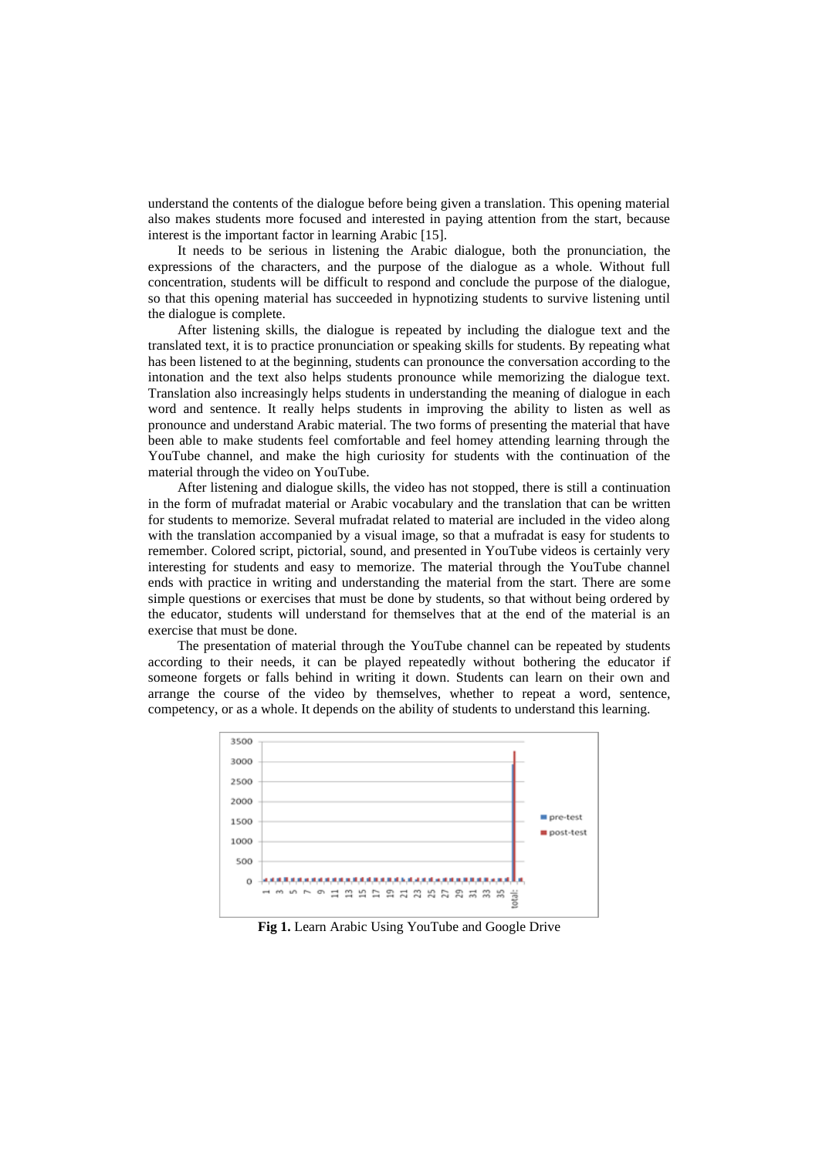understand the contents of the dialogue before being given a translation. This opening material also makes students more focused and interested in paying attention from the start, because interest is the important factor in learning Arabic [15].

It needs to be serious in listening the Arabic dialogue, both the pronunciation, the expressions of the characters, and the purpose of the dialogue as a whole. Without full concentration, students will be difficult to respond and conclude the purpose of the dialogue, so that this opening material has succeeded in hypnotizing students to survive listening until the dialogue is complete.

After listening skills, the dialogue is repeated by including the dialogue text and the translated text, it is to practice pronunciation or speaking skills for students. By repeating what has been listened to at the beginning, students can pronounce the conversation according to the intonation and the text also helps students pronounce while memorizing the dialogue text. Translation also increasingly helps students in understanding the meaning of dialogue in each word and sentence. It really helps students in improving the ability to listen as well as pronounce and understand Arabic material. The two forms of presenting the material that have been able to make students feel comfortable and feel homey attending learning through the YouTube channel, and make the high curiosity for students with the continuation of the material through the video on YouTube.

After listening and dialogue skills, the video has not stopped, there is still a continuation in the form of mufradat material or Arabic vocabulary and the translation that can be written for students to memorize. Several mufradat related to material are included in the video along with the translation accompanied by a visual image, so that a mufradat is easy for students to remember. Colored script, pictorial, sound, and presented in YouTube videos is certainly very interesting for students and easy to memorize. The material through the YouTube channel ends with practice in writing and understanding the material from the start. There are some simple questions or exercises that must be done by students, so that without being ordered by the educator, students will understand for themselves that at the end of the material is an exercise that must be done.

The presentation of material through the YouTube channel can be repeated by students according to their needs, it can be played repeatedly without bothering the educator if someone forgets or falls behind in writing it down. Students can learn on their own and arrange the course of the video by themselves, whether to repeat a word, sentence, competency, or as a whole. It depends on the ability of students to understand this learning.



**Fig 1.** Learn Arabic Using YouTube and Google Drive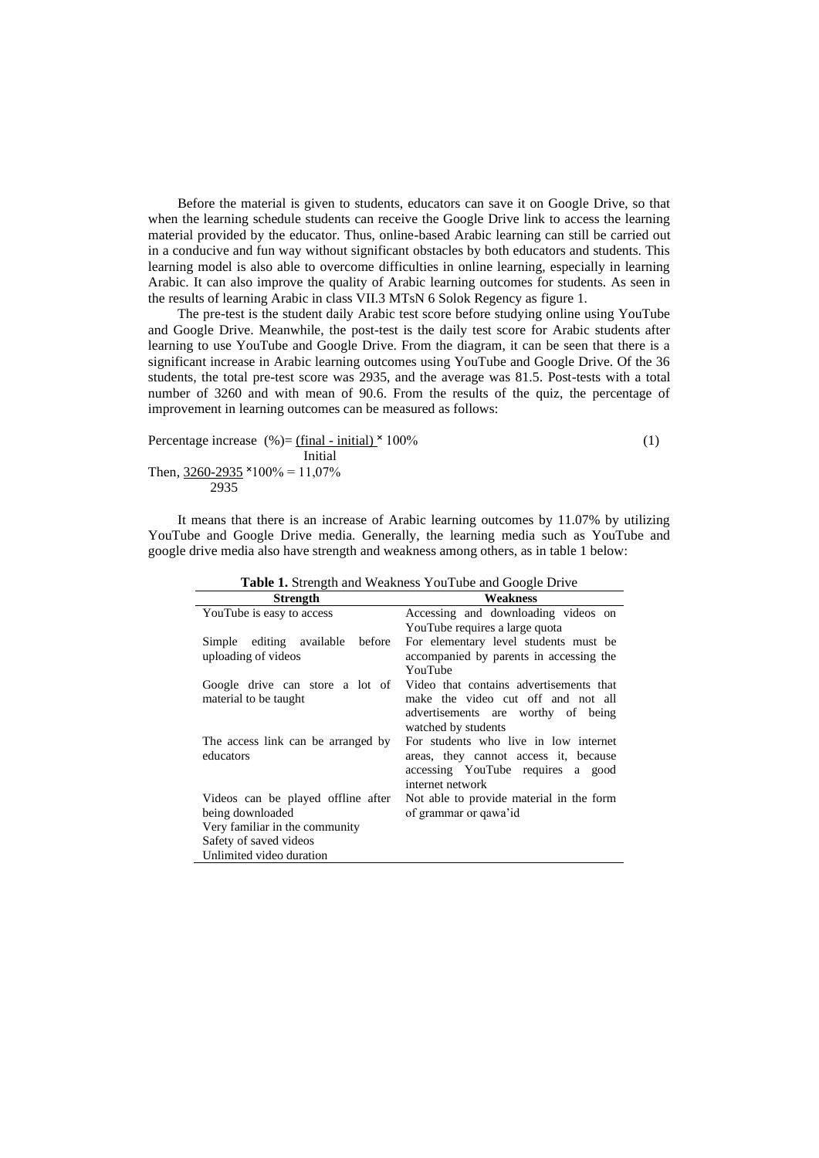Before the material is given to students, educators can save it on Google Drive, so that when the learning schedule students can receive the Google Drive link to access the learning material provided by the educator. Thus, online-based Arabic learning can still be carried out in a conducive and fun way without significant obstacles by both educators and students. This learning model is also able to overcome difficulties in online learning, especially in learning Arabic. It can also improve the quality of Arabic learning outcomes for students. As seen in the results of learning Arabic in class VII.3 MTsN 6 Solok Regency as figure 1.

The pre-test is the student daily Arabic test score before studying online using YouTube and Google Drive. Meanwhile, the post-test is the daily test score for Arabic students after learning to use YouTube and Google Drive. From the diagram, it can be seen that there is a significant increase in Arabic learning outcomes using YouTube and Google Drive. Of the 36 students, the total pre-test score was 2935, and the average was 81.5. Post-tests with a total number of 3260 and with mean of 90.6. From the results of the quiz, the percentage of improvement in learning outcomes can be measured as follows:

Percentage increase (%) = 
$$
\frac{\text{(final - initial)} \times 100\%}{\text{Initial}}
$$
 (1)  
Then,  $\frac{3260-2935}{2935} \times 100\% = 11,07\%$ 

It means that there is an increase of Arabic learning outcomes by 11.07% by utilizing YouTube and Google Drive media. Generally, the learning media such as YouTube and google drive media also have strength and weakness among others, as in table 1 below:

| Weakness<br><b>Strength</b>                                                    |
|--------------------------------------------------------------------------------|
|                                                                                |
| Accessing and downloading videos on<br>YouTube is easy to access               |
| YouTube requires a large quota                                                 |
| For elementary level students must be<br>editing available<br>before<br>Simple |
| accompanied by parents in accessing the<br>uploading of videos                 |
| YouTube                                                                        |
| Video that contains advertisements that<br>Google drive can store a lot of     |
| material to be taught<br>make the video cut off and not all                    |
| advertisements are worthy of being                                             |
| watched by students                                                            |
| For students who live in low internet<br>The access link can be arranged by    |
| educators<br>areas, they cannot access it, because                             |
| accessing YouTube requires a good                                              |
| internet network                                                               |
| Not able to provide material in the form<br>Videos can be played offline after |
| of grammar or qawa'id<br>being downloaded                                      |
| Very familiar in the community                                                 |
| Safety of saved videos                                                         |
| Unlimited video duration                                                       |

**Table 1.** Strength and Weakness YouTube and Google Drive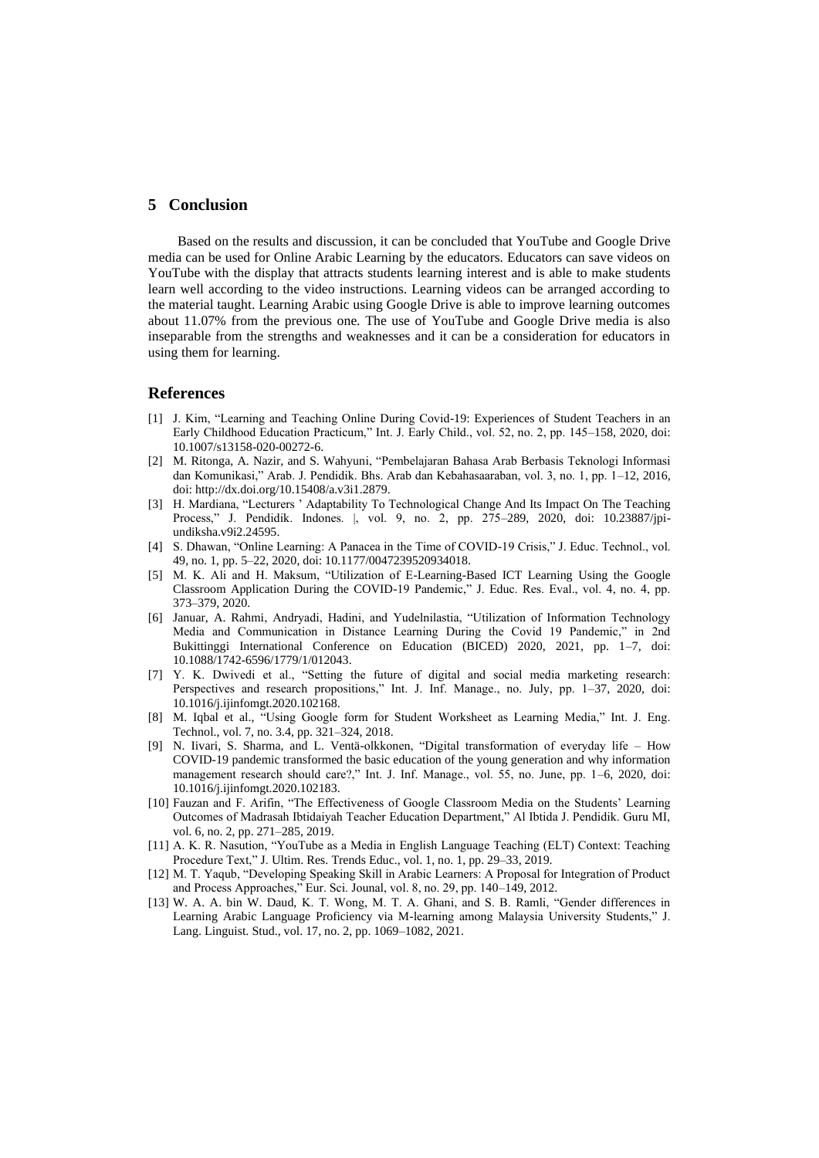## **5 Conclusion**

Based on the results and discussion, it can be concluded that YouTube and Google Drive media can be used for Online Arabic Learning by the educators. Educators can save videos on YouTube with the display that attracts students learning interest and is able to make students learn well according to the video instructions. Learning videos can be arranged according to the material taught. Learning Arabic using Google Drive is able to improve learning outcomes about 11.07% from the previous one. The use of YouTube and Google Drive media is also inseparable from the strengths and weaknesses and it can be a consideration for educators in using them for learning.

#### **References**

- [1] J. Kim, "Learning and Teaching Online During Covid-19: Experiences of Student Teachers in an Early Childhood Education Practicum," Int. J. Early Child., vol. 52, no. 2, pp. 145–158, 2020, doi: 10.1007/s13158-020-00272-6.
- [2] M. Ritonga, A. Nazir, and S. Wahyuni, "Pembelajaran Bahasa Arab Berbasis Teknologi Informasi dan Komunikasi," Arab. J. Pendidik. Bhs. Arab dan Kebahasaaraban, vol. 3, no. 1, pp. 1–12, 2016, doi: http://dx.doi.org/10.15408/a.v3i1.2879.
- [3] H. Mardiana, "Lecturers ' Adaptability To Technological Change And Its Impact On The Teaching Process," J. Pendidik. Indones. |, vol. 9, no. 2, pp. 275–289, 2020, doi: 10.23887/jpiundiksha.v9i2.24595.
- [4] S. Dhawan, "Online Learning: A Panacea in the Time of COVID-19 Crisis," J. Educ. Technol., vol. 49, no. 1, pp. 5–22, 2020, doi: 10.1177/0047239520934018.
- [5] M. K. Ali and H. Maksum, "Utilization of E-Learning-Based ICT Learning Using the Google Classroom Application During the COVID-19 Pandemic," J. Educ. Res. Eval., vol. 4, no. 4, pp. 373–379, 2020.
- [6] Januar, A. Rahmi, Andryadi, Hadini, and Yudelnilastia, "Utilization of Information Technology Media and Communication in Distance Learning During the Covid 19 Pandemic," in 2nd Bukittinggi International Conference on Education (BICED) 2020, 2021, pp. 1–7, doi: 10.1088/1742-6596/1779/1/012043.
- [7] Y. K. Dwivedi et al., "Setting the future of digital and social media marketing research: Perspectives and research propositions," Int. J. Inf. Manage., no. July, pp. 1–37, 2020, doi: 10.1016/j.ijinfomgt.2020.102168.
- [8] M. Iqbal et al., "Using Google form for Student Worksheet as Learning Media," Int. J. Eng. Technol., vol. 7, no. 3.4, pp. 321–324, 2018.
- [9] N. Iivari, S. Sharma, and L. Ventä-olkkonen, "Digital transformation of everyday life How COVID-19 pandemic transformed the basic education of the young generation and why information management research should care?," Int. J. Inf. Manage., vol. 55, no. June, pp. 1–6, 2020, doi: 10.1016/j.ijinfomgt.2020.102183.
- [10] Fauzan and F. Arifin, "The Effectiveness of Google Classroom Media on the Students' Learning Outcomes of Madrasah Ibtidaiyah Teacher Education Department," Al Ibtida J. Pendidik. Guru MI, vol. 6, no. 2, pp. 271–285, 2019.
- [11] A. K. R. Nasution, "YouTube as a Media in English Language Teaching (ELT) Context: Teaching Procedure Text," J. Ultim. Res. Trends Educ., vol. 1, no. 1, pp. 29–33, 2019.
- [12] M. T. Yaqub, "Developing Speaking Skill in Arabic Learners: A Proposal for Integration of Product and Process Approaches," Eur. Sci. Jounal, vol. 8, no. 29, pp. 140–149, 2012.
- [13] W. A. A. bin W. Daud, K. T. Wong, M. T. A. Ghani, and S. B. Ramli, "Gender differences in Learning Arabic Language Proficiency via M-learning among Malaysia University Students," J. Lang. Linguist. Stud., vol. 17, no. 2, pp. 1069–1082, 2021.